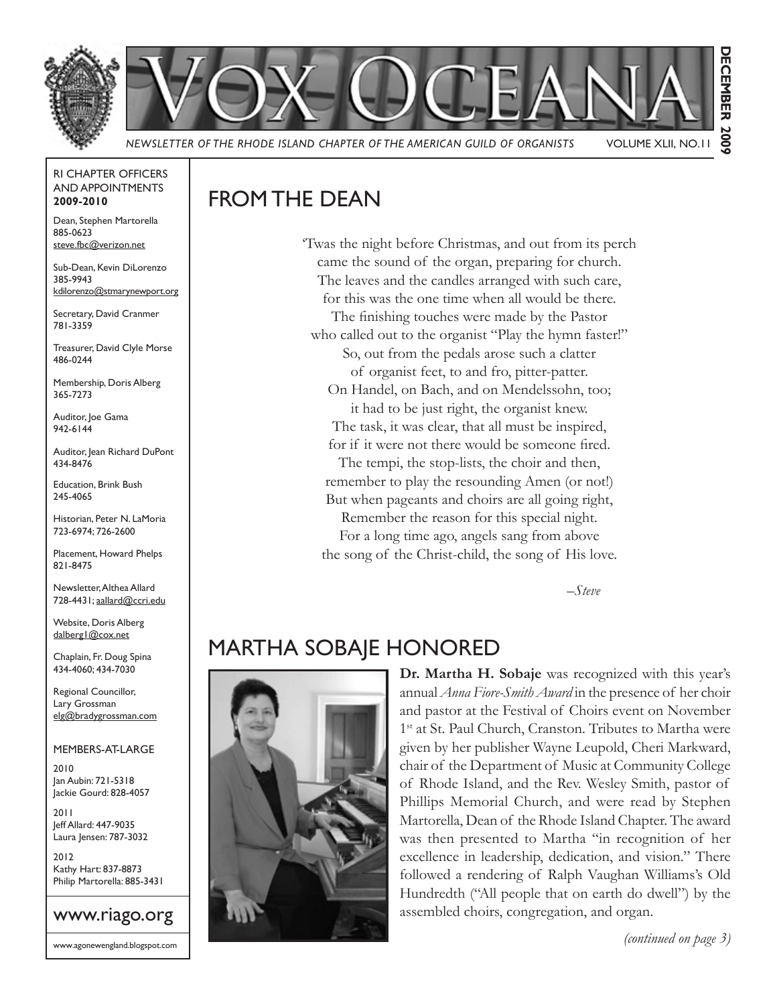

#### RI CHAPTER OFFICERS AND APPOINTMENTS **2009-2010**

Dean, Stephen Martorella 885-0623 steve.fbc@verizon.net

Sub-Dean, Kevin DiLorenzo 385-9943 kdilorenzo@stmarynewport.org

Secretary, David Cranmer 781-3359

Treasurer, David Clyle Morse 486-0244

Membership, Doris Alberg 365-7273

Auditor, Joe Gama 942-6144

Auditor, Jean Richard DuPont 434-8476

Education, Brink Bush 245-4065

Historian, Peter N. LaMoria 723-6974; 726-2600

Placement, Howard Phelps 821-8475

Newsletter, Althea Allard 728-4431; aallard@ccri.edu

Website, Doris Alberg dalberg1@cox.net

Chaplain, Fr. Doug Spina 434-4060; 434-7030

Regional Councillor, Lary Grossman elg@bradygrossman.com

#### MEMBERS-AT-LARGE

2010 Jan Aubin: 721-5318 Jackie Gourd: 828-4057

2011 Jeff Allard: 447-9035 Laura Jensen: 787-3032

2012 Kathy Hart: 837-8873 Philip Martorella: 885-3431

# www.riago.org

www.agonewengland.blogspot.com

## FROM THE DEAN

'Twas the night before Christmas, and out from its perch came the sound of the organ, preparing for church. The leaves and the candles arranged with such care, for this was the one time when all would be there. The finishing touches were made by the Pastor who called out to the organist "Play the hymn faster!" So, out from the pedals arose such a clatter of organist feet, to and fro, pitter-patter. On Handel, on Bach, and on Mendelssohn, too; it had to be just right, the organist knew. The task, it was clear, that all must be inspired, for if it were not there would be someone fired. The tempi, the stop-lists, the choir and then, remember to play the resounding Amen (or not!) But when pageants and choirs are all going right, Remember the reason for this special night. For a long time ago, angels sang from above the song of the Christ-child, the song of His love.

*–Steve*

### MARTHA SOBAJE HONORED



**Dr. Martha H. Sobaje** was recognized with this year's annual *Anna Fiore-Smith Award* in the presence of her choir and pastor at the Festival of Choirs event on November 1<sup>st</sup> at St. Paul Church, Cranston. Tributes to Martha were given by her publisher Wayne Leupold, Cheri Markward, chair of the Department of Music at Community College of Rhode Island, and the Rev. Wesley Smith, pastor of Phillips Memorial Church, and were read by Stephen Martorella, Dean of the Rhode Island Chapter. The award was then presented to Martha "in recognition of her excellence in leadership, dedication, and vision." There followed a rendering of Ralph Vaughan Williams's Old Hundredth ("All people that on earth do dwell") by the assembled choirs, congregation, and organ.

*(continued on page 3)*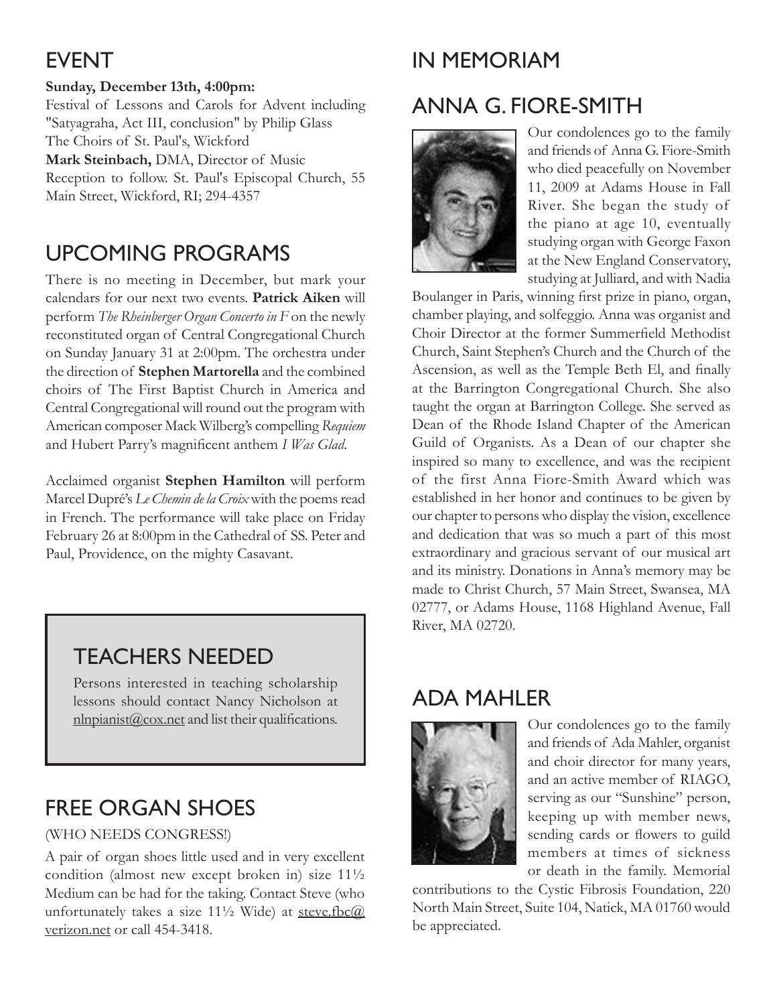## EVENT

### **Sunday, December 13th, 4:00pm:**

Festival of Lessons and Carols for Advent including "Satyagraha, Act III, conclusion" by Philip Glass The Choirs of St. Paul's, Wickford

**Mark Steinbach,** DMA, Director of Music Reception to follow. St. Paul's Episcopal Church, 55 Main Street, Wickford, RI; 294-4357

## UPCOMING PROGRAMS

There is no meeting in December, but mark your calendars for our next two events. **Patrick Aiken** will perform *The Rheinberger Organ Concerto in F* on the newly reconstituted organ of Central Congregational Church on Sunday January 31 at 2:00pm. The orchestra under the direction of **Stephen Martorella** and the combined choirs of The First Baptist Church in America and Central Congregational will round out the program with American composer Mack Wilberg's compelling *Requiem* and Hubert Parry's magnificent anthem *I Was Glad*.

Acclaimed organist **Stephen Hamilton** will perform Marcel Dupré's *Le Chemin de la Croix* with the poems read in French. The performance will take place on Friday February 26 at 8:00pm in the Cathedral of SS. Peter and Paul, Providence, on the mighty Casavant.

## TEACHERS NEEDED

Persons interested in teaching scholarship lessons should contact Nancy Nicholson at nlnpianist@cox.net and list their qualifications.

## FREE ORGAN SHOES

### (WHO NEEDS CONGRESS!)

A pair of organ shoes little used and in very excellent condition (almost new except broken in) size 11½ Medium can be had for the taking. Contact Steve (who unfortunately takes a size  $11\frac{1}{2}$  Wide) at steve.fbc $@$ verizon.net or call 454-3418.

# IN MEMORIAM

# ANNA G. FIORE-SMITH



Our condolences go to the family and friends of Anna G. Fiore-Smith who died peacefully on November 11, 2009 at Adams House in Fall River. She began the study of the piano at age 10, eventually studying organ with George Faxon at the New England Conservatory, studying at Julliard, and with Nadia

Boulanger in Paris, winning first prize in piano, organ, chamber playing, and solfeggio. Anna was organist and Choir Director at the former Summerfield Methodist Church, Saint Stephen's Church and the Church of the Ascension, as well as the Temple Beth El, and finally at the Barrington Congregational Church. She also taught the organ at Barrington College. She served as Dean of the Rhode Island Chapter of the American Guild of Organists. As a Dean of our chapter she inspired so many to excellence, and was the recipient of the first Anna Fiore-Smith Award which was established in her honor and continues to be given by our chapter to persons who display the vision, excellence and dedication that was so much a part of this most extraordinary and gracious servant of our musical art and its ministry. Donations in Anna's memory may be made to Christ Church, 57 Main Street, Swansea, MA 02777, or Adams House, 1168 Highland Avenue, Fall River, MA 02720.

## ADA MAHLER



Our condolences go to the family and friends of Ada Mahler, organist and choir director for many years, and an active member of RIAGO, serving as our "Sunshine" person, keeping up with member news, sending cards or flowers to guild members at times of sickness or death in the family. Memorial

contributions to the Cystic Fibrosis Foundation, 220 North Main Street, Suite 104, Natick, MA 01760 would be appreciated.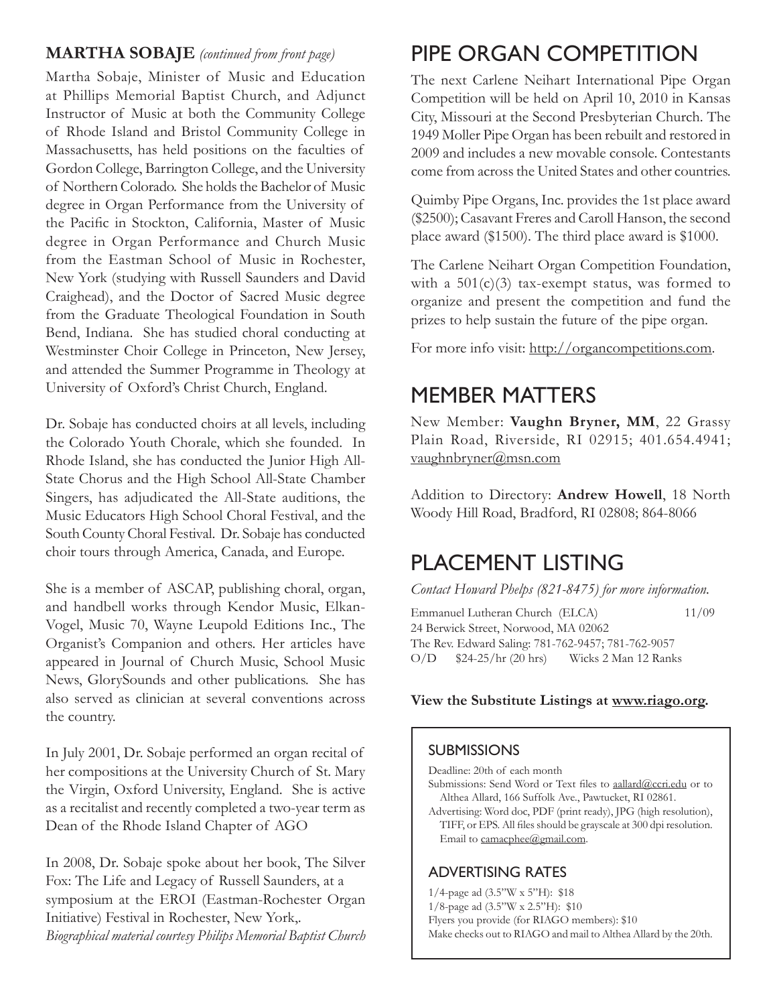### **MARTHA SOBAJE** *(continued from front page)*

Martha Sobaje, Minister of Music and Education at Phillips Memorial Baptist Church, and Adjunct Instructor of Music at both the Community College of Rhode Island and Bristol Community College in Massachusetts, has held positions on the faculties of Gordon College, Barrington College, and the University of Northern Colorado. She holds the Bachelor of Music degree in Organ Performance from the University of the Pacific in Stockton, California, Master of Music degree in Organ Performance and Church Music from the Eastman School of Music in Rochester, New York (studying with Russell Saunders and David Craighead), and the Doctor of Sacred Music degree from the Graduate Theological Foundation in South Bend, Indiana. She has studied choral conducting at Westminster Choir College in Princeton, New Jersey, and attended the Summer Programme in Theology at University of Oxford's Christ Church, England.

Dr. Sobaje has conducted choirs at all levels, including the Colorado Youth Chorale, which she founded. In Rhode Island, she has conducted the Junior High All-State Chorus and the High School All-State Chamber Singers, has adjudicated the All-State auditions, the Music Educators High School Choral Festival, and the South County Choral Festival. Dr. Sobaje has conducted choir tours through America, Canada, and Europe.

She is a member of ASCAP, publishing choral, organ, and handbell works through Kendor Music, Elkan-Vogel, Music 70, Wayne Leupold Editions Inc., The Organist's Companion and others. Her articles have appeared in Journal of Church Music, School Music News, GlorySounds and other publications. She has also served as clinician at several conventions across the country.

In July 2001, Dr. Sobaje performed an organ recital of her compositions at the University Church of St. Mary the Virgin, Oxford University, England. She is active as a recitalist and recently completed a two-year term as Dean of the Rhode Island Chapter of AGO

In 2008, Dr. Sobaje spoke about her book, The Silver Fox: The Life and Legacy of Russell Saunders, at a symposium at the EROI (Eastman-Rochester Organ Initiative) Festival in Rochester, New York,. *Biographical material courtesy Philips Memorial Baptist Church*

## PIPE ORGAN COMPETITION

The next Carlene Neihart International Pipe Organ Competition will be held on April 10, 2010 in Kansas City, Missouri at the Second Presbyterian Church. The 1949 Moller Pipe Organ has been rebuilt and restored in 2009 and includes a new movable console. Contestants come from across the United States and other countries.

Quimby Pipe Organs, Inc. provides the 1st place award (\$2500); Casavant Freres and Caroll Hanson, the second place award (\$1500). The third place award is \$1000.

The Carlene Neihart Organ Competition Foundation, with a  $501(c)(3)$  tax-exempt status, was formed to organize and present the competition and fund the prizes to help sustain the future of the pipe organ.

For more info visit: http://organcompetitions.com.

## MEMBER MATTERS

New Member: **Vaughn Bryner, MM**, 22 Grassy Plain Road, Riverside, RI 02915; 401.654.4941; vaughnbryner@msn.com

Addition to Directory: **Andrew Howell**, 18 North Woody Hill Road, Bradford, RI 02808; 864-8066

## PLACEMENT LISTING

*Contact Howard Phelps (821-8475) for more information.*

Emmanuel Lutheran Church (ELCA) 11/09 24 Berwick Street, Norwood, MA 02062 The Rev. Edward Saling: 781-762-9457; 781-762-9057 O/D \$24-25/hr (20 hrs) Wicks 2 Man 12 Ranks

#### **View the Substitute Listings at www.riago.org.**

### **SUBMISSIONS**

Deadline: 20th of each month

- Submissions: Send Word or Text files to aallard@ccri.edu or to Althea Allard, 166 Suffolk Ave., Pawtucket, RI 02861.
- Advertising: Word doc, PDF (print ready), JPG (high resolution), TIFF, or EPS. All files should be grayscale at 300 dpi resolution. Email to camacphee@gmail.com.

### ADVERTISING RATES

- 1/4-page ad (3.5"W x 5"H): \$18
- 1/8-page ad (3.5"W x 2.5"H): \$10
- Flyers you provide (for RIAGO members): \$10
- Make checks out to RIAGO and mail to Althea Allard by the 20th.